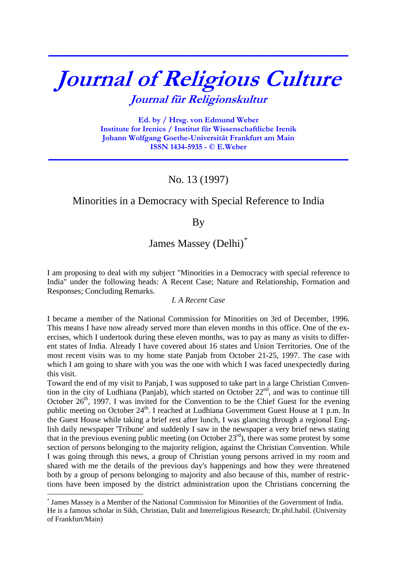# **Journal of Religious Culture Journal für Religionskultur**

**\_\_\_\_\_\_\_\_\_\_\_\_\_\_\_\_\_\_\_\_\_\_\_\_\_\_\_\_\_\_\_\_\_\_\_\_\_\_\_\_\_\_\_\_\_\_\_\_\_\_\_\_\_\_\_\_\_\_\_\_\_\_\_\_\_\_\_\_\_\_\_\_\_\_\_**

**Ed. by / Hrsg. von Edmund Weber Institute for Irenics / Institut für Wissenschaftliche Irenik Johann Wolfgang Goethe-Universität Frankfurt am Main ISSN 1434-5935 - © E.Weber** 

# No. 13 (1997)

**\_\_\_\_\_\_\_\_\_\_\_\_\_\_\_\_\_\_\_\_\_\_\_\_\_\_\_\_\_\_\_\_\_\_\_\_\_\_\_\_\_\_\_\_\_\_\_\_\_\_\_\_\_\_\_\_\_\_\_\_\_\_\_\_\_\_\_\_\_\_\_\_\_\_\_**

# Minorities in a Democracy with Special Reference to India

# By

# James Massey (Delhi)[\\*](#page-0-0)

I am proposing to deal with my subject "Minorities in a Democracy with special reference to India" under the following heads: A Recent Case; Nature and Relationship, Formation and Responses; Concluding Remarks.

#### *I. A Recent Case*

I became a member of the National Commission for Minorities on 3rd of December, 1996. This means I have now already served more than eleven months in this office. One of the exercises, which I undertook during these eleven months, was to pay as many as visits to different states of India. Already I have covered about 16 states and Union Territories. One of the most recent visits was to my home state Panjab from October 21-25, 1997. The case with which I am going to share with you was the one with which I was faced unexpectedly during this visit.

Toward the end of my visit to Panjab, I was supposed to take part in a large Christian Convention in the city of Ludhiana (Panjab), which started on October  $22<sup>nd</sup>$ , and was to continue till October  $26<sup>th</sup>$ , 1997. I was invited for the Convention to be the Chief Guest for the evening public meeting on October 24<sup>th</sup>. I reached at Ludhiana Government Guest House at 1 p.m. In the Guest House while taking a brief rest after lunch, I was glancing through a regional English daily newspaper 'Tribune' and suddenly I saw in the newspaper a very brief news stating that in the previous evening public meeting (on October  $23^{rd}$ ), there was some protest by some section of persons belonging to the majority religion, against the Christian Convention. While I was going through this news, a group of Christian young persons arrived in my room and shared with me the details of the previous day's happenings and how they were threatened both by a group of persons belonging to majority and also because of this, number of restrictions have been imposed by the district administration upon the Christians concerning the

<u>.</u>

<span id="page-0-0"></span><sup>\*</sup> James Massey is a Member of the National Commission for Minorities of the Government of India. He is a famous scholar in Sikh, Christian, Dalit and Interreligious Research; Dr.phil.habil. (University of Frankfurt/Main)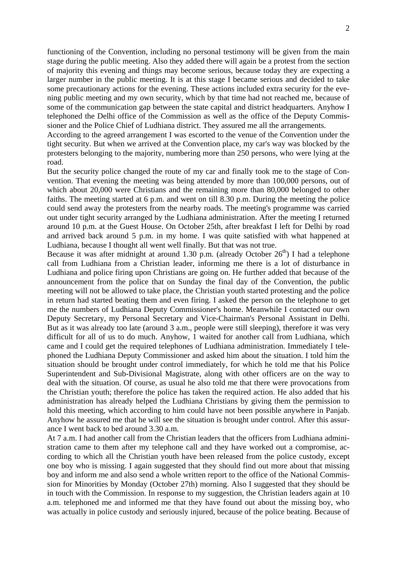functioning of the Convention, including no personal testimony will be given from the main stage during the public meeting. Also they added there will again be a protest from the section of majority this evening and things may become serious, because today they are expecting a larger number in the public meeting. It is at this stage I became serious and decided to take some precautionary actions for the evening. These actions included extra security for the evening public meeting and my own security, which by that time had not reached me, because of some of the communication gap between the state capital and district headquarters. Anyhow I telephoned the Delhi office of the Commission as well as the office of the Deputy Commissioner and the Police Chief of Ludhiana district. They assured me all the arrangements.

According to the agreed arrangement I was escorted to the venue of the Convention under the tight security. But when we arrived at the Convention place, my car's way was blocked by the protesters belonging to the majority, numbering more than 250 persons, who were lying at the road.

But the security police changed the route of my car and finally took me to the stage of Convention. That evening the meeting was being attended by more than 100,000 persons, out of which about 20,000 were Christians and the remaining more than 80,000 belonged to other faiths. The meeting started at 6 p.m. and went on till 8.30 p.m. During the meeting the police could send away the protesters from the nearby roads. The meeting's programme was carried out under tight security arranged by the Ludhiana administration. After the meeting I returned around 10 p.m. at the Guest House. On October 25th, after breakfast I left for Delhi by road and arrived back around 5 p.m. in my home. I was quite satisfied with what happened at Ludhiana, because I thought all went well finally. But that was not true.

Because it was after midnight at around 1.30 p.m. (already October  $26<sup>th</sup>$ ) I had a telephone call from Ludhiana from a Christian leader, informing me there is a lot of disturbance in Ludhiana and police firing upon Christians are going on. He further added that because of the announcement from the police that on Sunday the final day of the Convention, the public meeting will not be allowed to take place, the Christian youth started protesting and the police in return had started beating them and even firing. I asked the person on the telephone to get me the numbers of Ludhiana Deputy Commissioner's home. Meanwhile I contacted our own Deputy Secretary, my Personal Secretary and Vice-Chairman's Personal Assistant in Delhi. But as it was already too late (around 3 a.m., people were still sleeping), therefore it was very difficult for all of us to do much. Anyhow, 1 waited for another call from Ludhiana, which came and I could get the required telephones of Ludhiana administration. Immediately I telephoned the Ludhiana Deputy Commissioner and asked him about the situation. I told him the situation should be brought under control immediately, for which he told me that his Police Superintendent and Sub-Divisional Magistrate, along with other officers are on the way to deal with the situation. Of course, as usual he also told me that there were provocations from the Christian youth; therefore the police has taken the required action. He also added that his administration has already helped the Ludhiana Christians by giving them the permission to hold this meeting, which according to him could have not been possible anywhere in Panjab. Anyhow he assured me that he will see the situation is brought under control. After this assurance I went back to bed around 3.30 a.m.

At 7 a.m. I had another call from the Christian leaders that the officers from Ludhiana administration came to them after my telephone call and they have worked out a compromise, according to which all the Christian youth have been released from the police custody, except one boy who is missing. I again suggested that they should find out more about that missing boy and inform me and also send a whole written report to the office of the National Commission for Minorities by Monday (October 27th) morning. Also I suggested that they should be in touch with the Commission. In response to my suggestion, the Christian leaders again at 10 a.m. telephoned me and informed me that they have found out about the missing boy, who was actually in police custody and seriously injured, because of the police beating. Because of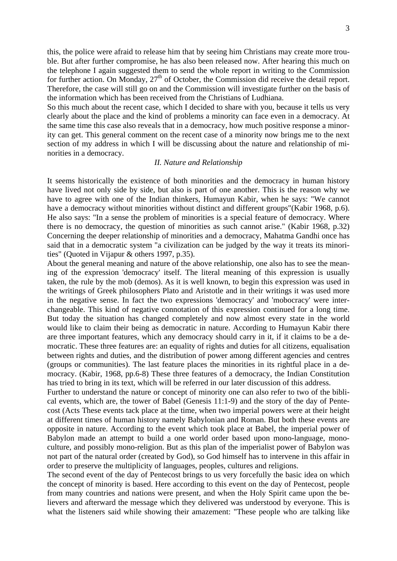this, the police were afraid to release him that by seeing him Christians may create more trouble. But after further compromise, he has also been released now. After hearing this much on the telephone I again suggested them to send the whole report in writing to the Commission for further action. On Monday,  $27<sup>th</sup>$  of October, the Commission did receive the detail report. Therefore, the case will still go on and the Commission will investigate further on the basis of the information which has been received from the Christians of Ludhiana.

So this much about the recent case, which I decided to share with you, because it tells us very clearly about the place and the kind of problems a minority can face even in a democracy. At the same time this case also reveals that in a democracy, how much positive response a minority can get. This general comment on the recent case of a minority now brings me to the next section of my address in which I will be discussing about the nature and relationship of minorities in a democracy.

#### *II. Nature and Relationship*

It seems historically the existence of both minorities and the democracy in human history have lived not only side by side, but also is part of one another. This is the reason why we have to agree with one of the Indian thinkers, Humayun Kabir, when he says: "We cannot have a democracy without minorities without distinct and different groups" (Kabir 1968, p.6). He also says: "In a sense the problem of minorities is a special feature of democracy. Where there is no democracy, the question of minorities as such cannot arise." (Kabir 1968, p.32) Concerning the deeper relationship of minorities and a democracy, Mahatma Gandhi once has said that in a democratic system "a civilization can be judged by the way it treats its minorities" (Quoted in Vijapur & others 1997, p.35).

About the general meaning and nature of the above relationship, one also has to see the meaning of the expression 'democracy' itself. The literal meaning of this expression is usually taken, the rule by the mob (demos). As it is well known, to begin this expression was used in the writings of Greek philosophers Plato and Aristotle and in their writings it was used more in the negative sense. In fact the two expressions 'democracy' and 'mobocracy' were interchangeable. This kind of negative connotation of this expression continued for a long time. But today the situation has changed completely and now almost every state in the world would like to claim their being as democratic in nature. According to Humayun Kabir there are three important features, which any democracy should carry in it, if it claims to be a democratic. These three features are: an equality of rights and duties for all citizens, equalisation between rights and duties, and the distribution of power among different agencies and centres (groups or communities). The last feature places the minorities in its rightful place in a democracy. (Kabir, 1968, pp.6-8) These three features of a democracy, the Indian Constitution has tried to bring in its text, which will be referred in our later discussion of this address.

Further to understand the nature or concept of minority one can also refer to two of the biblical events, which are, the tower of Babel (Genesis 11:1-9) and the story of the day of Pentecost (Acts These events tack place at the time, when two imperial powers were at their height at different times of human history namely Babylonian and Roman. But both these events are opposite in nature. According to the event which took place at Babel, the imperial power of Babylon made an attempt to build a one world order based upon mono-language, monoculture, and possibly mono-religion. But as this plan of the imperialist power of Babylon was not part of the natural order (created by God), so God himself has to intervene in this affair in order to preserve the multiplicity of languages, peoples, cultures and religions.

The second event of the day of Pentecost brings to us very forcefully the basic idea on which the concept of minority is based. Here according to this event on the day of Pentecost, people from many countries and nations were present, and when the Holy Spirit came upon the believers and afterward the message which they delivered was understood by everyone. This is what the listeners said while showing their amazement: "These people who are talking like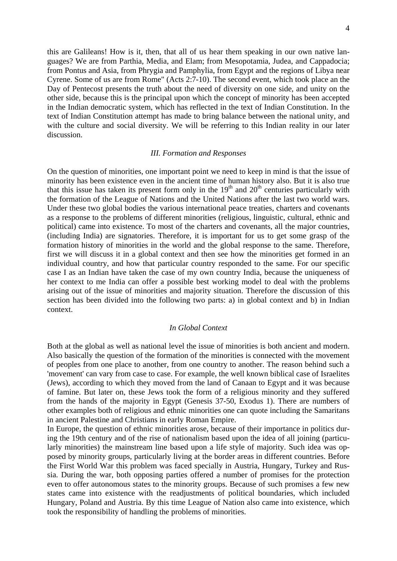this are Galileans! How is it, then, that all of us hear them speaking in our own native languages? We are from Parthia, Media, and Elam; from Mesopotamia, Judea, and Cappadocia; from Pontus and Asia, from Phrygia and Pamphylia, from Egypt and the regions of Libya near Cyrene. Some of us are from Rome" (Acts 2:7-10). The second event, which took place an the Day of Pentecost presents the truth about the need of diversity on one side, and unity on the other side, because this is the principal upon which the concept of minority has been accepted in the Indian democratic system, which has reflected in the text of Indian Constitution. In the text of Indian Constitution attempt has made to bring balance between the national unity, and with the culture and social diversity. We will be referring to this Indian reality in our later discussion.

#### *III. Formation and Responses*

On the question of minorities, one important point we need to keep in mind is that the issue of minority has been existence even in the ancient time of human history also. But it is also true that this issue has taken its present form only in the  $19<sup>th</sup>$  and  $20<sup>th</sup>$  centuries particularly with the formation of the League of Nations and the United Nations after the last two world wars. Under these two global bodies the various international peace treaties, charters and covenants as a response to the problems of different minorities (religious, linguistic, cultural, ethnic and political) came into existence. To most of the charters and covenants, all the major countries, (including India) are signatories. Therefore, it is important for us to get some grasp of the formation history of minorities in the world and the global response to the same. Therefore, first we will discuss it in a global context and then see how the minorities get formed in an individual country, and how that particular country responded to the same. For our specific case I as an Indian have taken the case of my own country India, because the uniqueness of her context to me India can offer a possible best working model to deal with the problems arising out of the issue of minorities and majority situation. Therefore the discussion of this section has been divided into the following two parts: a) in global context and b) in Indian context.

#### *In Global Context*

Both at the global as well as national level the issue of minorities is both ancient and modern. Also basically the question of the formation of the minorities is connected with the movement of peoples from one place to another, from one country to another. The reason behind such a 'movement' can vary from case to case. For example, the well known biblical case of Israelites (Jews), according to which they moved from the land of Canaan to Egypt and it was because of famine. But later on, these Jews took the form of a religious minority and they suffered from the hands of the majority in Egypt (Genesis 37-50, Exodus 1). There are numbers of other examples both of religious and ethnic minorities one can quote including the Samaritans in ancient Palestine and Christians in early Roman Empire.

In Europe, the question of ethnic minorities arose, because of their importance in politics during the 19th century and of the rise of nationalism based upon the idea of all joining (particularly minorities) the mainstream line based upon a life style of majority. Such idea was opposed by minority groups, particularly living at the border areas in different countries. Before the First World War this problem was faced specially in Austria, Hungary, Turkey and Russia. During the war, both opposing parties offered a number of promises for the protection even to offer autonomous states to the minority groups. Because of such promises a few new states came into existence with the readjustments of political boundaries, which included Hungary, Poland and Austria. By this time League of Nation also came into existence, which took the responsibility of handling the problems of minorities.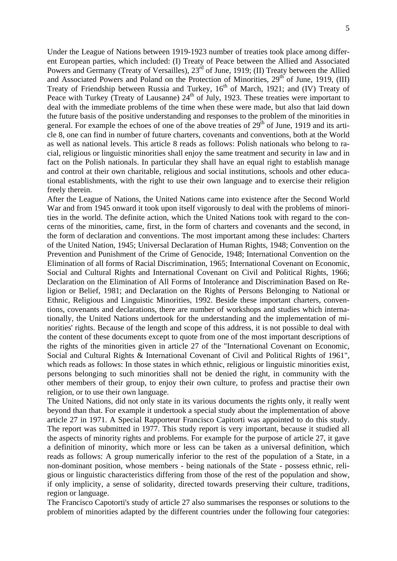Under the League of Nations between 1919-1923 number of treaties took place among different European parties, which included: (I) Treaty of Peace between the Allied and Associated Powers and Germany (Treaty of Versailles), 23<sup>rd</sup> of June, 1919; (II) Treaty between the Allied and Associated Powers and Poland on the Protection of Minorities, 29<sup>th</sup> of June, 1919, (III) Treaty of Friendship between Russia and Turkey,  $16<sup>th</sup>$  of March, 1921; and (IV) Treaty of Peace with Turkey (Treaty of Lausanne) 24<sup>th</sup> of July, 1923. These treaties were important to deal with the immediate problems of the time when these were made, but also that laid down the future basis of the positive understanding and responses to the problem of the minorities in general. For example the echoes of one of the above treaties of 29<sup>th</sup> of June, 1919 and its article 8, one can find in number of future charters, covenants and conventions, both at the World as well as national levels. This article 8 reads as follows: Polish nationals who belong to racial, religious or linguistic minorities shall enjoy the same treatment and security in law and in fact on the Polish nationals. In particular they shall have an equal right to establish manage and control at their own charitable, religious and social institutions, schools and other educational establishments, with the right to use their own language and to exercise their religion freely therein.

After the League of Nations, the United Nations came into existence after the Second World War and from 1945 onward it took upon itself vigorously to deal with the problems of minorities in the world. The definite action, which the United Nations took with regard to the concerns of the minorities, came, first, in the form of charters and covenants and the second, in the form of declaration and conventions. The most important among these includes: Charters of the United Nation, 1945; Universal Declaration of Human Rights, 1948; Convention on the Prevention and Punishment of the Crime of Genocide, 1948; International Convention on the Elimination of all forms of Racial Discrimination, 1965; International Covenant on Economic, Social and Cultural Rights and International Covenant on Civil and Political Rights, 1966; Declaration on the Elimination of All Forms of Intolerance and Discrimination Based on Religion or Belief, 1981; and Declaration on the Rights of Persons Belonging to National or Ethnic, Religious and Linguistic Minorities, 1992. Beside these important charters, conventions, covenants and declarations, there are number of workshops and studies which internationally, the United Nations undertook for the understanding and the implementation of minorities' rights. Because of the length and scope of this address, it is not possible to deal with the content of these documents except to quote from one of the most important descriptions of the rights of the minorities given in article 27 of the "International Covenant on Economic, Social and Cultural Rights & International Covenant of Civil and Political Rights of 1961", which reads as follows: In those states in which ethnic, religious or linguistic minorities exist, persons belonging to such minorities shall not be denied the right, in community with the other members of their group, to enjoy their own culture, to profess and practise their own religion, or to use their own language.

The United Nations, did not only state in its various documents the rights only, it really went beyond than that. For example it undertook a special study about the implementation of above article 27 in 1971. A Special Rapporteur Francisco Capitorti was appointed to do this study. The report was submitted in 1977. This study report is very important, because it studied all the aspects of minority rights and problems. For example for the purpose of article 27, it gave a definition of minority, which more or less can be taken as a universal definition, which reads as follows: A group numerically inferior to the rest of the population of a State, in a non-dominant position, whose members - being nationals of the State - possess ethnic, religious or linguistic characteristics differing from those of the rest of the population and show, if only implicity, a sense of solidarity, directed towards preserving their culture, traditions, region or language.

The Francisco Capotorti's study of article 27 also summarises the responses or solutions to the problem of minorities adapted by the different countries under the following four categories: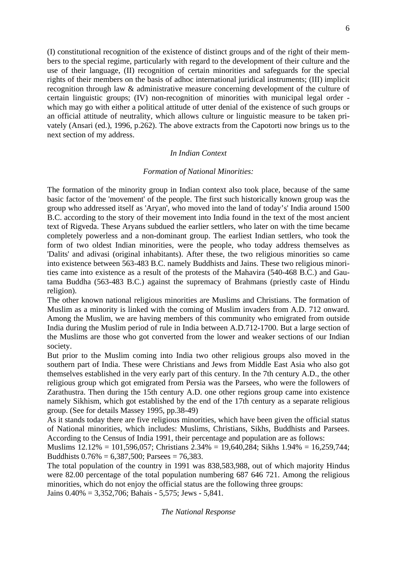(I) constitutional recognition of the existence of distinct groups and of the right of their members to the special regime, particularly with regard to the development of their culture and the use of their language, (II) recognition of certain minorities and safeguards for the special rights of their members on the basis of adhoc international juridical instruments; (III) implicit recognition through law & administrative measure concerning development of the culture of certain linguistic groups; (IV) non-recognition of minorities with municipal legal order which may go with either a political attitude of utter denial of the existence of such groups or an official attitude of neutrality, which allows culture or linguistic measure to be taken privately (Ansari (ed.), 1996, p.262). The above extracts from the Capotorti now brings us to the next section of my address.

#### *In Indian Context*

#### *Formation of National Minorities:*

The formation of the minority group in Indian context also took place, because of the same basic factor of the 'movement' of the people. The first such historically known group was the group who addressed itself as 'Aryan', who moved into the land of today's' India around 1500 B.C. according to the story of their movement into India found in the text of the most ancient text of Rigveda. These Aryans subdued the earlier settlers, who later on with the time became completely powerless and a non-dominant group. The earliest Indian settlers, who took the form of two oldest Indian minorities, were the people, who today address themselves as 'Dalits' and adivasi (original inhabitants). After these, the two religious minorities so came into existence between 563-483 B.C. namely Buddhists and Jains. These two religious minorities came into existence as a result of the protests of the Mahavira (540-468 B.C.) and Gautama Buddha (563-483 B.C.) against the supremacy of Brahmans (priestly caste of Hindu religion).

The other known national religious minorities are Muslims and Christians. The formation of Muslim as a minority is linked with the coming of Muslim invaders from A.D. 712 onward. Among the Muslim, we are having members of this community who emigrated from outside India during the Muslim period of rule in India between A.D.712-1700. But a large section of the Muslims are those who got converted from the lower and weaker sections of our Indian society.

But prior to the Muslim coming into India two other religious groups also moved in the southern part of India. These were Christians and Jews from Middle East Asia who also got themselves established in the very early part of this century. In the 7th century A.D., the other religious group which got emigrated from Persia was the Parsees, who were the followers of Zarathustra. Then during the 15th century A.D. one other regions group came into existence namely Sikhism, which got established by the end of the 17th century as a separate religious group. (See for details Massey 1995, pp.38-49)

As it stands today there are five religious minorities, which have been given the official status of National minorities, which includes: Muslims, Christians, Sikhs, Buddhists and Parsees. According to the Census of India 1991, their percentage and population are as follows:

Muslims 12.12% = 101,596,057; Christians 2.34% = 19,640,284; Sikhs 1.94% = 16,259,744; Buddhists  $0.76\% = 6,387,500$ ; Parsees = 76,383.

The total population of the country in 1991 was 838,583,988, out of which majority Hindus were 82.00 percentage of the total population numbering 687 646 721. Among the religious minorities, which do not enjoy the official status are the following three groups: Jains 0.40% = 3,352,706; Bahais - 5,575; Jews - 5,841.

*The National Response*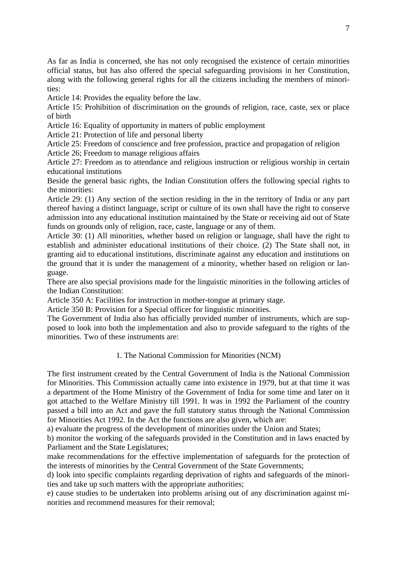As far as India is concerned, she has not only recognised the existence of certain minorities official status, but has also offered the special safeguarding provisions in her Constitution, along with the following general rights for all the citizens including the members of minorities:

Article 14: Provides the equality before the law.

Article 15: Prohibition of discrimination on the grounds of religion, race, caste, sex or place of birth

Article 16: Equality of opportunity in matters of public employment

Article 21: Protection of life and personal liberty

Article 25: Freedom of conscience and free profession, practice and propagation of religion

Article 26; Freedom to manage religious affairs

Article 27: Freedom as to attendance and religious instruction or religious worship in certain educational institutions

Beside the general basic rights, the Indian Constitution offers the following special rights to the minorities:

Article 29: (1) Any section of the section residing in the in the territory of India or any part thereof having a distinct language, script or culture of its own shall have the right to conserve admission into any educational institution maintained by the State or receiving aid out of State funds on grounds only of religion, race, caste, language or any of them.

Article 30: (1) All minorities, whether based on religion or language, shall have the right to establish and administer educational institutions of their choice. (2) The State shall not, in granting aid to educational institutions, discriminate against any education and institutions on the ground that it is under the management of a minority, whether based on religion or language.

There are also special provisions made for the linguistic minorities in the following articles of the Indian Constitution:

Article 350 A: Facilities for instruction in mother-tongue at primary stage.

Article 350 B: Provision for a Special officer for linguistic minorities.

The Government of India also has officially provided number of instruments, which are supposed to look into both the implementation and also to provide safeguard to the rights of the minorities. Two of these instruments are:

#### 1. The National Commission for Minorities (NCM)

The first instrument created by the Central Government of India is the National Commission for Minorities. This Commission actually came into existence in 1979, but at that time it was a department of the Home Ministry of the Government of India for some time and later on it got attached to the Welfare Ministry till 1991. It was in 1992 the Parliament of the country passed a bill into an Act and gave the full statutory status through the National Commission for Minorities Act 1992. In the Act the functions are also given, which are:

a) evaluate the progress of the development of minorities under the Union and States;

b) monitor the working of the safeguards provided in the Constitution and in laws enacted by Parliament and the State Legislatures;

make recommendations for the effective implementation of safeguards for the protection of the interests of minorities by the Central Government of the State Governments;

d) look into specific complaints regarding deprivation of rights and safeguards of the minorities and take up such matters with the appropriate authorities;

e) cause studies to be undertaken into problems arising out of any discrimination against minorities and recommend measures for their removal;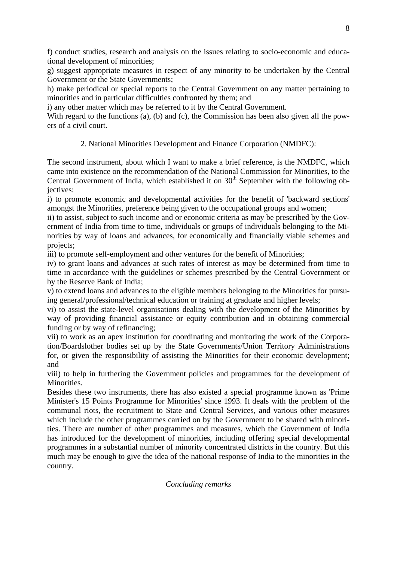f) conduct studies, research and analysis on the issues relating to socio-economic and educational development of minorities;

g) suggest appropriate measures in respect of any minority to be undertaken by the Central Government or the State Governments;

h) make periodical or special reports to the Central Government on any matter pertaining to minorities and in particular difficulties confronted by them; and

i) any other matter which may be referred to it by the Central Government.

With regard to the functions (a), (b) and (c), the Commission has been also given all the powers of a civil court.

# 2. National Minorities Development and Finance Corporation (NMDFC):

The second instrument, about which I want to make a brief reference, is the NMDFC, which came into existence on the recommendation of the National Commission for Minorities, to the Central Government of India, which established it on  $30<sup>th</sup>$  September with the following objectives:

i) to promote economic and developmental activities for the benefit of 'backward sections' amongst the Minorities, preference being given to the occupational groups and women;

ii) to assist, subject to such income and or economic criteria as may be prescribed by the Government of India from time to time, individuals or groups of individuals belonging to the Minorities by way of loans and advances, for economically and financially viable schemes and projects;

iii) to promote self-employment and other ventures for the benefit of Minorities;

iv) to grant loans and advances at such rates of interest as may be determined from time to time in accordance with the guidelines or schemes prescribed by the Central Government or by the Reserve Bank of India;

v) to extend loans and advances to the eligible members belonging to the Minorities for pursuing general/professional/technical education or training at graduate and higher levels;

vi) to assist the state-level organisations dealing with the development of the Minorities by way of providing financial assistance or equity contribution and in obtaining commercial funding or by way of refinancing;

vii) to work as an apex institution for coordinating and monitoring the work of the Corporation/Boardslother bodies set up by the State Governments/Union Territory Administrations for, or given the responsibility of assisting the Minorities for their economic development; and

viii) to help in furthering the Government policies and programmes for the development of Minorities.

Besides these two instruments, there has also existed a special programme known as 'Prime Minister's 15 Points Programme for Minorities' since 1993. It deals with the problem of the communal riots, the recruitment to State and Central Services, and various other measures which include the other programmes carried on by the Government to be shared with minorities. There are number of other programmes and measures, which the Government of India has introduced for the development of minorities, including offering special developmental programmes in a substantial number of minority concentrated districts in the country. But this much may be enough to give the idea of the national response of India to the minorities in the country.

### *Concluding remarks*